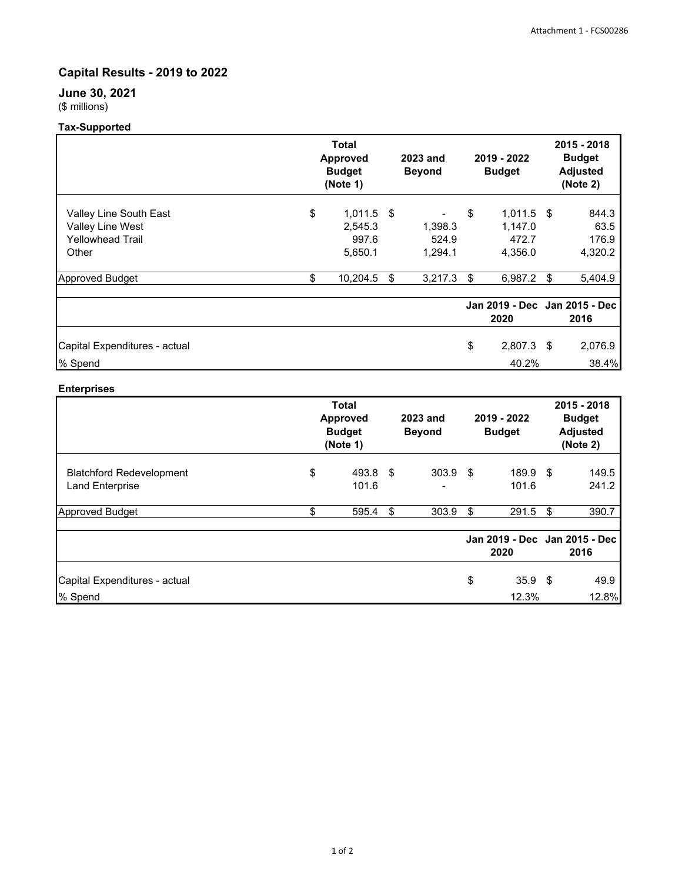# **Capital Results - 2019 to 2022**

# **June 30, 2021** (\$ millions)

# **Tax-Supported**

|                                                                                                          |          | <b>Total</b><br><b>Approved</b><br><b>Budget</b><br>(Note 1) |    | <b>2023 and</b><br><b>Beyond</b>       |          | 2019 - 2022<br><b>Budget</b>                           |    | 2015 - 2018<br><b>Budget</b><br><b>Adjusted</b><br>(Note 2) |  |
|----------------------------------------------------------------------------------------------------------|----------|--------------------------------------------------------------|----|----------------------------------------|----------|--------------------------------------------------------|----|-------------------------------------------------------------|--|
| Valley Line South East<br>Valley Line West<br><b>Yellowhead Trail</b><br>Other<br><b>Approved Budget</b> | \$<br>\$ | $1,011.5$ \$<br>2,545.3<br>997.6<br>5,650.1<br>10,204.5      | \$ | 1,398.3<br>524.9<br>1,294.1<br>3,217.3 | \$<br>\$ | $1,011.5$ \$<br>1,147.0<br>472.7<br>4,356.0<br>6,987.2 | \$ | 844.3<br>63.5<br>176.9<br>4,320.2<br>5,404.9                |  |
| Capital Expenditures - actual                                                                            |          |                                                              |    |                                        | \$       | 2020<br>$2,807.3$ \$                                   |    | Jan 2019 - Dec Jan 2015 - Dec<br>2016<br>2,076.9            |  |
| % Spend                                                                                                  |          |                                                              |    |                                        |          | 40.2%                                                  |    | 38.4%                                                       |  |

## **Enterprises**

|                                                           | <b>Total</b><br><b>Approved</b><br><b>Budget</b><br>(Note 1) |                   | 2023 and<br><b>Beyond</b> |            | 2019 - 2022<br><b>Budget</b> |                                       | 2015 - 2018<br><b>Budget</b><br><b>Adjusted</b><br>(Note 2) |                |
|-----------------------------------------------------------|--------------------------------------------------------------|-------------------|---------------------------|------------|------------------------------|---------------------------------------|-------------------------------------------------------------|----------------|
| <b>Blatchford Redevelopment</b><br><b>Land Enterprise</b> | \$                                                           | 493.8 \$<br>101.6 |                           | $303.9$ \$ |                              | 189.9 \$<br>101.6                     |                                                             | 149.5<br>241.2 |
| <b>Approved Budget</b>                                    | \$                                                           | 595.4             | \$                        | 303.9      | \$                           | 291.5                                 | \$                                                          | 390.7          |
|                                                           |                                                              |                   |                           |            |                              | Jan 2019 - Dec Jan 2015 - Dec<br>2020 |                                                             | 2016           |
| Capital Expenditures - actual<br>% Spend                  |                                                              |                   |                           |            | \$                           | 35.9 <sup>5</sup><br>12.3%            |                                                             | 49.9<br>12.8%  |